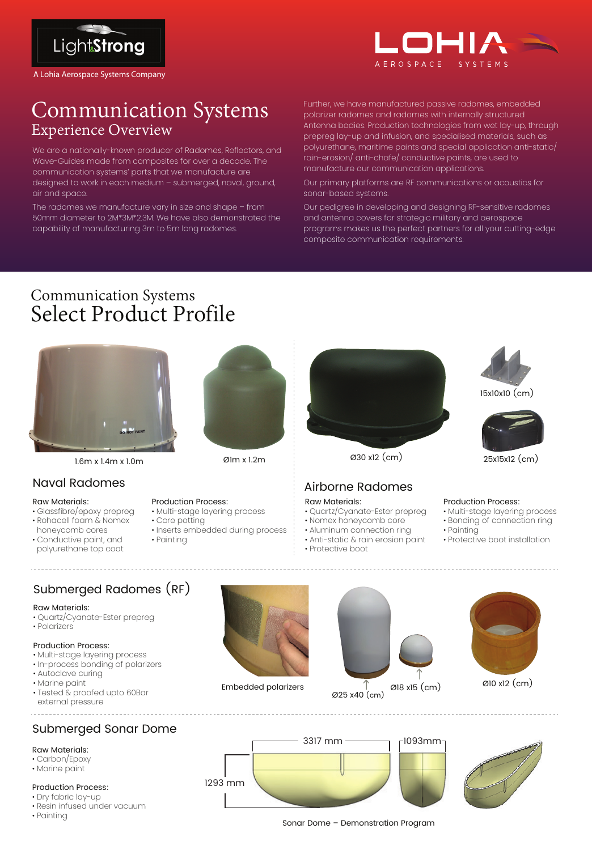

A Lohia Aerospace Systems Company



# Communication Systems Experience Overview

We are a nationally-known producer of Radomes, Reflectors, and Wave-Guides made from composites for over a decade. The communication systems' parts that we manufacture are designed to work in each medium – submerged, naval, ground, air and space.

The radomes we manufacture vary in size and shape – from 50mm diameter to 2M\*3M\*2.3M. We have also demonstrated the capability of manufacturing 3m to 5m long radomes.

Further, we have manufactured passive radomes, embedded polarizer radomes and radomes with internally structured Antenna bodies. Production technologies from wet lay-up, through prepreg lay-up and infusion, and specialised materials, such as polyurethane, maritime paints and special application anti-static/ rain-erosion/ anti-chafe/ conductive paints, are used to manufacture our communication applications.

Our primary platforms are RF communications or acoustics for sonar-based systems.

Our pedigree in developing and designing RF-sensitive radomes and antenna covers for strategic military and aerospace programs makes us the perfect partners for all your cutting-edge composite communication requirements.

# Communication Systems Select Product Profile



1.6m x 1.4m x 1.0m Ø1m x 1.2m

### Naval Radomes

### Raw Materials:

- Glassfibre/epoxy prepreg
- Rohacell foam & Nomex
- honeycomb cores • Conductive paint, and polyurethane top coat



Production Process:

• Core potting

• Painting

• Multi-stage layering process

• Inserts embedded during process



## Airborne Radomes

### Raw Materials:

- 
- 
- Aluminum connection ring
- Anti-static & rain erosion paint





25x15x12 (cm)

### Production Process:

- Multi-stage layering process
- Bonding of connection ring
- Painting
- Protective boot installation

## Submerged Radomes (RF)

### Raw Materials:

- Quartz/Cyanate-Ester prepreg
- Polarizers

### Production Process:

- Multi-stage layering process
- In-process bonding of polarizers
- Autoclave curing
- Marine paint
- Tested & proofed upto 60Bar external pressure

## Submerged Sonar Dome

### Raw Materials:

- Carbon/Epoxy
- Marine paint

### Production Process:

- Dry fabric lay-up
- Resin infused under vacuum
- Painting





 $\varnothing$ 18 x15 (cm)  $\varnothing$ 10 x12 (cm)

Sonar Dome – Demonstration Program

Ø25 x40 (cm)

Embedded polarizers

- Quartz/Cyanate-Ester prepreg
- Nomex honeycomb core
- 

### • Protective boot